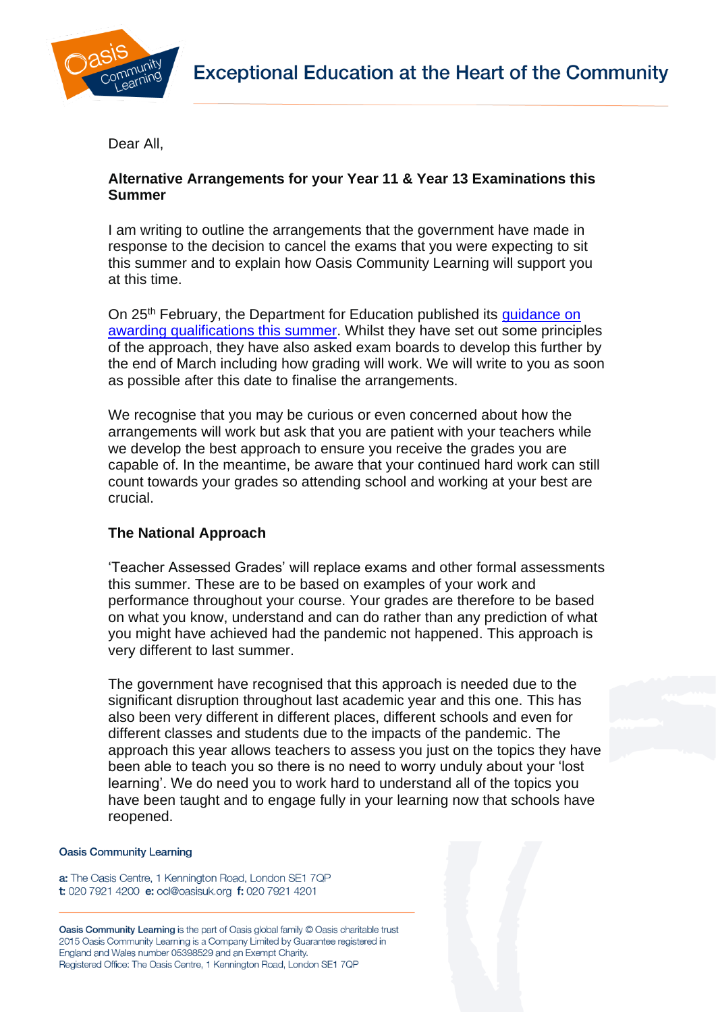

Dear All,

# **Alternative Arrangements for your Year 11 & Year 13 Examinations this Summer**

I am writing to outline the arrangements that the government have made in response to the decision to cancel the exams that you were expecting to sit this summer and to explain how Oasis Community Learning will support you at this time.

On 25<sup>th</sup> February, the Department for Education published its quidance on [awarding qualifications this summer.](https://www.gov.uk/government/publications/awarding-qualifications-in-summer-2021) Whilst they have set out some principles of the approach, they have also asked exam boards to develop this further by the end of March including how grading will work. We will write to you as soon as possible after this date to finalise the arrangements.

We recognise that you may be curious or even concerned about how the arrangements will work but ask that you are patient with your teachers while we develop the best approach to ensure you receive the grades you are capable of. In the meantime, be aware that your continued hard work can still count towards your grades so attending school and working at your best are crucial.

## **The National Approach**

'Teacher Assessed Grades' will replace exams and other formal assessments this summer. These are to be based on examples of your work and performance throughout your course. Your grades are therefore to be based on what you know, understand and can do rather than any prediction of what you might have achieved had the pandemic not happened. This approach is very different to last summer.

The government have recognised that this approach is needed due to the significant disruption throughout last academic year and this one. This has also been very different in different places, different schools and even for different classes and students due to the impacts of the pandemic. The approach this year allows teachers to assess you just on the topics they have been able to teach you so there is no need to worry unduly about your 'lost learning'. We do need you to work hard to understand all of the topics you have been taught and to engage fully in your learning now that schools have reopened.

#### **Oasis Community Learning**

a: The Oasis Centre, 1 Kennington Road, London SE1 7QP t: 020 7921 4200 e: ocl@oasisuk.org f: 020 7921 4201

Oasis Community Learning is the part of Oasis global family © Oasis charitable trust 2015 Oasis Community Learning is a Company Limited by Guarantee registered in England and Wales number 05398529 and an Exempt Charity. Registered Office: The Oasis Centre, 1 Kennington Road, London SE1 7QP